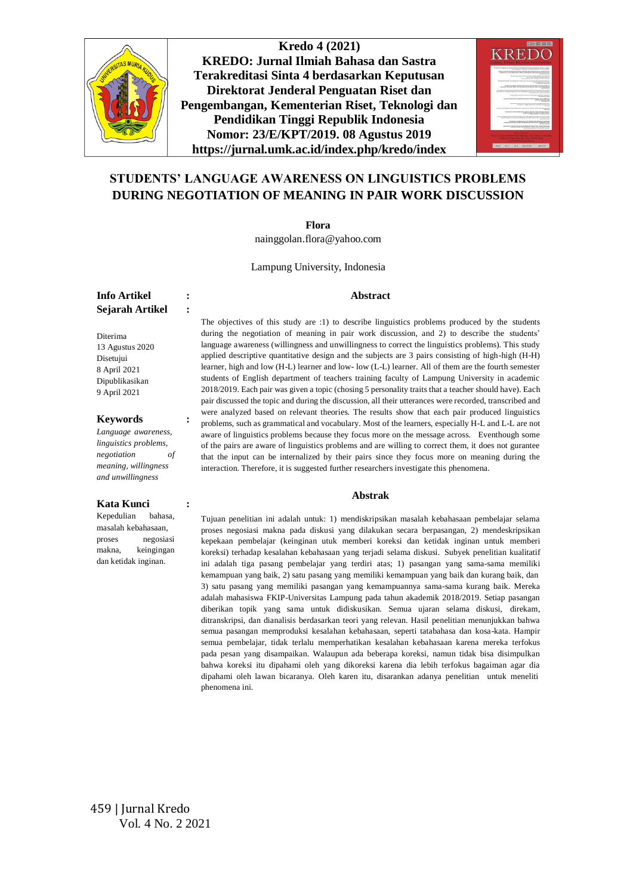



# **STUDENTS' LANGUAGE AWARENESS ON LINGUISTICS PROBLEMS DURING NEGOTIATION OF MEANING IN PAIR WORK DISCUSSION**

**Flora**

[nainggolan.flora@yahoo.com](mailto:nainggolan.flora@yahoo.com)

Lampung University, Indonesia

**Info Artikel : Abstract Sejarah Artikel**

**:**

**:**

**:**

Diterima 13 Agustus 2020 Disetujui 8 April 2021 Dipublikasikan 9 April 2021

**Keywords**

*Language awareness, linguistics problems, negotiation of meaning, willingness and unwillingness*

**Kata Kunci**

Kepedulian bahasa, masalah kebahasaan, proses negosiasi makna, keingingan dan ketidak inginan.

The objectives of this study are :1) to describe linguistics problems produced by the students during the negotiation of meaning in pair work discussion, and 2) to describe the students' language awareness (willingness and unwillingness to correct the linguistics problems). This study applied descriptive quantitative design and the subjects are 3 pairs consisting of high-high (H-H) learner, high and low (H-L) learner and low- low (L-L) learner. All of them are the fourth semester students of English department of teachers training faculty of Lampung University in academic 2018/2019. Each pair was given a topic (chosing 5 personality traits that a teacher should have). Each pair discussed the topic and during the discussion, all their utterances were recorded, transcribed and were analyzed based on relevant theories. The results show that each pair produced linguistics problems, such as grammatical and vocabulary. Most of the learners, especially H-L and L-L are not aware of linguistics problems because they focus more on the message across. Eventhough some of the pairs are aware of linguistics problems and are willing to correct them, it does not gurantee that the input can be internalized by their pairs since they focus more on meaning during the interaction. Therefore, it is suggested further researchers investigate this phenomena.

#### **Abstrak**

Tujuan penelitian ini adalah untuk: 1) mendiskripsikan masalah kebahasaan pembelajar selama proses negosiasi makna pada diskusi yang dilakukan secara berpasangan, 2) mendeskripsikan kepekaan pembelajar (keinginan utuk memberi koreksi dan ketidak inginan untuk memberi koreksi) terhadap kesalahan kebahasaan yang terjadi selama diskusi. Subyek penelitian kualitatif ini adalah tiga pasang pembelajar yang terdiri atas; 1) pasangan yang sama-sama memiliki kemampuan yang baik, 2) satu pasang yang memiliki kemampuan yang baik dan kurang baik, dan 3) satu pasang yang memiliki pasangan yang kemampuannya sama-sama kurang baik. Mereka adalah mahasiswa FKIP-Universitas Lampung pada tahun akademik 2018/2019. Setiap pasangan diberikan topik yang sama untuk didiskusikan. Semua ujaran selama diskusi, direkam, ditranskripsi, dan dianalisis berdasarkan teori yang relevan. Hasil penelitian menunjukkan bahwa semua pasangan memproduksi kesalahan kebahasaan, seperti tatabahasa dan kosa-kata. Hampir semua pembelajar, tidak terlalu memperhatikan kesalahan kebahasaan karena mereka terfokus pada pesan yang disampaikan. Walaupun ada beberapa koreksi, namun tidak bisa disimpulkan bahwa koreksi itu dipahami oleh yang dikoreksi karena dia lebih terfokus bagaiman agar dia dipahami oleh lawan bicaranya. Oleh karen itu, disarankan adanya penelitian untuk meneliti phenomena ini.

459 | Jurnal Kredo Vol. 4 No. 2 2021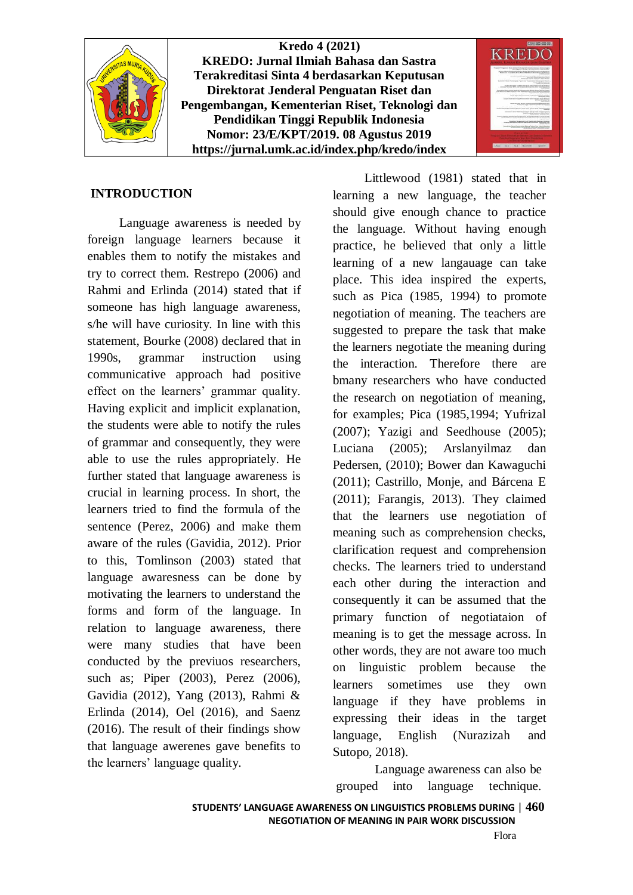

**Kredo 4 (2021) KREDO: Jurnal Ilmiah Bahasa dan Sastra Terakreditasi Sinta 4 berdasarkan Keputusan Direktorat Jenderal Penguatan Riset dan Pengembangan, Kementerian Riset, Teknologi dan Pendidikan Tinggi Republik Indonesia Nomor: 23/E/KPT/2019. 08 Agustus 2019 https://jurnal.umk.ac.id/index.php/kredo/index**



# **INTRODUCTION**

Language awareness is needed by foreign language learners because it enables them to notify the mistakes and try to correct them. Restrepo (2006) and Rahmi and Erlinda (2014) stated that if someone has high language awareness, s/he will have curiosity. In line with this statement, Bourke (2008) declared that in 1990s, grammar instruction using communicative approach had positive effect on the learners' grammar quality. Having explicit and implicit explanation, the students were able to notify the rules of grammar and consequently, they were able to use the rules appropriately. He further stated that language awareness is crucial in learning process. In short, the learners tried to find the formula of the sentence (Perez, 2006) and make them aware of the rules (Gavidia, 2012). Prior to this, Tomlinson (2003) stated that language awaresness can be done by motivating the learners to understand the forms and form of the language. In relation to language awareness, there were many studies that have been conducted by the previuos researchers, such as; Piper (2003), Perez (2006), Gavidia (2012), Yang (2013), Rahmi & Erlinda (2014), Oel (2016), and Saenz (2016). The result of their findings show that language awerenes gave benefits to the learners' language quality.

Littlewood (1981) stated that in learning a new language, the teacher should give enough chance to practice the language. Without having enough practice, he believed that only a little learning of a new langauage can take place. This idea inspired the experts, such as Pica (1985, 1994) to promote negotiation of meaning. The teachers are suggested to prepare the task that make the learners negotiate the meaning during the interaction. Therefore there are bmany researchers who have conducted the research on negotiation of meaning, for examples; Pica (1985,1994; Yufrizal (2007); Yazigi and Seedhouse (2005); Luciana (2005); Arslanyilmaz dan Pedersen, (2010); Bower dan Kawaguchi (2011); Castrillo, Monje, and Bárcena E (2011); Farangis, 2013). They claimed that the learners use negotiation of meaning such as comprehension checks, clarification request and comprehension checks. The learners tried to understand each other during the interaction and consequently it can be assumed that the primary function of negotiataion of meaning is to get the message across. In other words, they are not aware too much on linguistic problem because the learners sometimes use they own language if they have problems in expressing their ideas in the target language, English (Nurazizah and Sutopo, 2018).

Language awareness can also be grouped into language technique.

**STUDENTS' LANGUAGE AWARENESS ON LINGUISTICS PROBLEMS DURING** | **460 NEGOTIATION OF MEANING IN PAIR WORK DISCUSSION**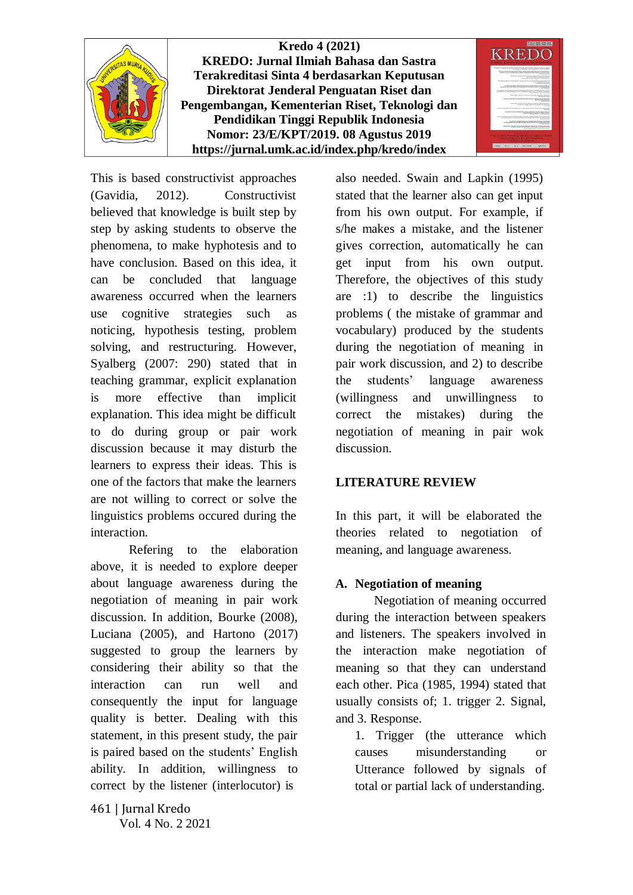

This is based constructivist approaches (Gavidia, 2012). Constructivist believed that knowledge is built step by step by asking students to observe the phenomena, to make hyphotesis and to have conclusion. Based on this idea, it can be concluded that language awareness occurred when the learners use cognitive strategies such as noticing, hypothesis testing, problem solving, and restructuring. However, Syalberg (2007: 290) stated that in teaching grammar, explicit explanation is more effective than implicit explanation. This idea might be difficult to do during group or pair work discussion because it may disturb the learners to express their ideas. This is one of the factors that make the learners are not willing to correct or solve the linguistics problems occured during the interaction.

Refering to the elaboration above, it is needed to explore deeper about language awareness during the negotiation of meaning in pair work discussion. In addition, Bourke (2008), Luciana (2005), and Hartono (2017) suggested to group the learners by considering their ability so that the interaction can run well and consequently the input for language quality is better. Dealing with this statement, in this present study, the pair is paired based on the students' English ability. In addition, willingness to correct by the listener (interlocutor) is

461 | Jurnal Kredo Vol. 4 No. 2 2021 also needed. Swain and Lapkin (1995) stated that the learner also can get input from his own output. For example, if s/he makes a mistake, and the listener gives correction, automatically he can get input from his own output. Therefore, the objectives of this study are :1) to describe the linguistics problems ( the mistake of grammar and vocabulary) produced by the students during the negotiation of meaning in pair work discussion, and 2) to describe the students' language awareness (willingness and unwillingness to correct the mistakes) during the negotiation of meaning in pair wok discussion.

#### **LITERATURE REVIEW**

In this part, it will be elaborated the theories related to negotiation of meaning, and language awareness.

# **A. Negotiation of meaning**

Negotiation of meaning occurred during the interaction between speakers and listeners. The speakers involved in the interaction make negotiation of meaning so that they can understand each other. Pica (1985, 1994) stated that usually consists of; 1. trigger 2. Signal, and 3. Response.

1. Trigger (the utterance which causes misunderstanding or Utterance followed by signals of total or partial lack of understanding.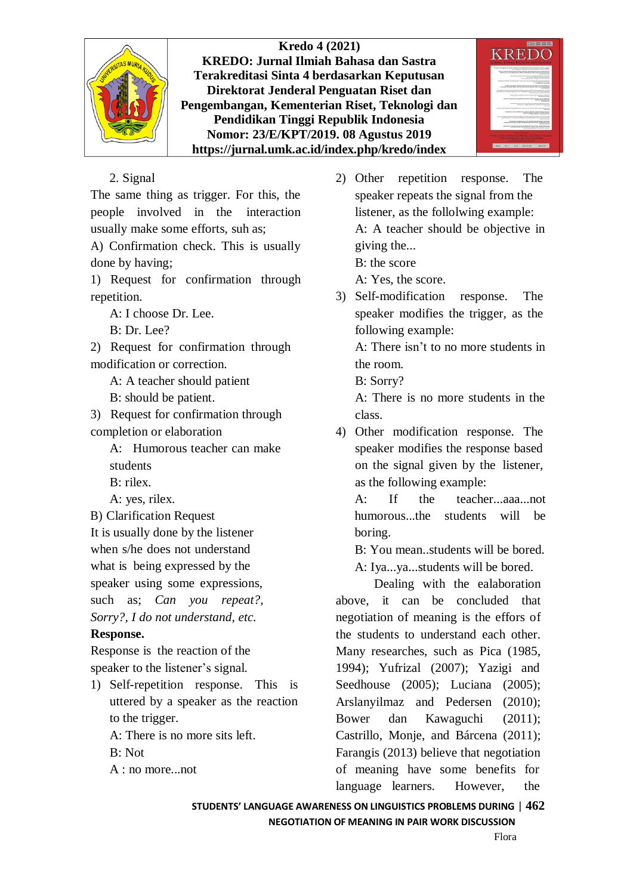



2. Signal

The same thing as trigger. For this, the people involved in the interaction usually make some efforts, suh as;

A) Confirmation check. This is usually done by having;

1) Request for confirmation through repetition.

A: I choose Dr. Lee.

B: Dr. Lee?

2) Request for confirmation through modification or correction.

A: A teacher should patient

B: should be patient.

3) Request for confirmation through completion or elaboration

A: Humorous teacher can make students

B: rilex.

A: yes, rilex.

B) Clarification Request

It is usually done by the listener when s/he does not understand what is being expressed by the speaker using some expressions, such as; *Can you repeat?, Sorry?, I do not understand, etc.*

# **Response.**

Response is the reaction of the speaker to the listener's signal.

- 1) Self-repetition response. This is uttered by a speaker as the reaction to the trigger.
	- A: There is no more sits left.
	- $\mathbf{R} \cdot \mathbf{N}$ ot

A : no more...not

2) Other repetition response. The speaker repeats the signal from the listener, as the follolwing example: A: A teacher should be objective in giving the...

B: the score

A: Yes, the score.

3) Self-modification response. The speaker modifies the trigger, as the following example:

A: There isn't to no more students in the room.

B: Sorry?

A: There is no more students in the class.

4) Other modification response. The speaker modifies the response based on the signal given by the listener, as the following example:

 $A:$  If the teacher aas not humorous...the students will be boring.

B: You mean..students will be bored.

A: Iya...ya...students will be bored.

Dealing with the ealaboration above, it can be concluded that negotiation of meaning is the effors of the students to understand each other. Many researches, such as Pica (1985, 1994); Yufrizal (2007); Yazigi and Seedhouse (2005); Luciana (2005); Arslanyilmaz and Pedersen (2010); Bower dan Kawaguchi (2011); Castrillo, Monje, and Bárcena (2011); Farangis (2013) believe that negotiation of meaning have some benefits for language learners. However, the

**STUDENTS' LANGUAGE AWARENESS ON LINGUISTICS PROBLEMS DURING** | **462**

**NEGOTIATION OF MEANING IN PAIR WORK DISCUSSION**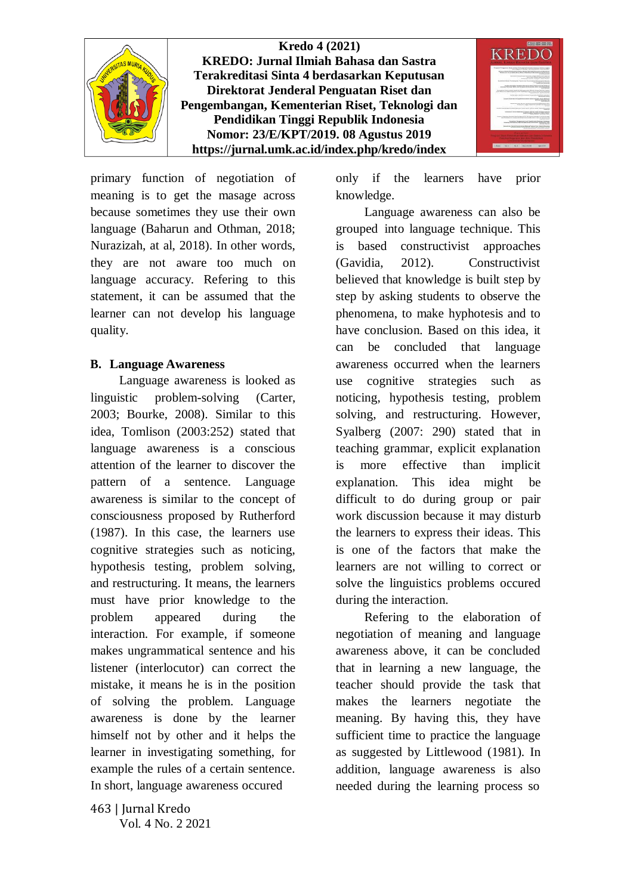

primary function of negotiation of meaning is to get the masage across because sometimes they use their own language (Baharun and Othman, 2018; Nurazizah, at al, 2018). In other words, they are not aware too much on language accuracy. Refering to this statement, it can be assumed that the learner can not develop his language quality.

#### **B. Language Awareness**

Language awareness is looked as linguistic problem-solving (Carter, 2003; Bourke, 2008). Similar to this idea, Tomlison (2003:252) stated that language awareness is a conscious attention of the learner to discover the pattern of a sentence. Language awareness is similar to the concept of consciousness proposed by Rutherford (1987). In this case, the learners use cognitive strategies such as noticing, hypothesis testing, problem solving, and restructuring. It means, the learners must have prior knowledge to the problem appeared during the interaction. For example, if someone makes ungrammatical sentence and his listener (interlocutor) can correct the mistake, it means he is in the position of solving the problem. Language awareness is done by the learner himself not by other and it helps the learner in investigating something, for example the rules of a certain sentence. In short, language awareness occured

only if the learners have prior knowledge.

Language awareness can also be grouped into language technique. This is based constructivist approaches (Gavidia, 2012). Constructivist believed that knowledge is built step by step by asking students to observe the phenomena, to make hyphotesis and to have conclusion. Based on this idea, it can be concluded that language awareness occurred when the learners use cognitive strategies such as noticing, hypothesis testing, problem solving, and restructuring. However, Syalberg (2007: 290) stated that in teaching grammar, explicit explanation is more effective than implicit explanation. This idea might be difficult to do during group or pair work discussion because it may disturb the learners to express their ideas. This is one of the factors that make the learners are not willing to correct or solve the linguistics problems occured during the interaction.

Refering to the elaboration of negotiation of meaning and language awareness above, it can be concluded that in learning a new language, the teacher should provide the task that makes the learners negotiate the meaning. By having this, they have sufficient time to practice the language as suggested by Littlewood (1981). In addition, language awareness is also needed during the learning process so

463 | Jurnal Kredo Vol. 4 No. 2 2021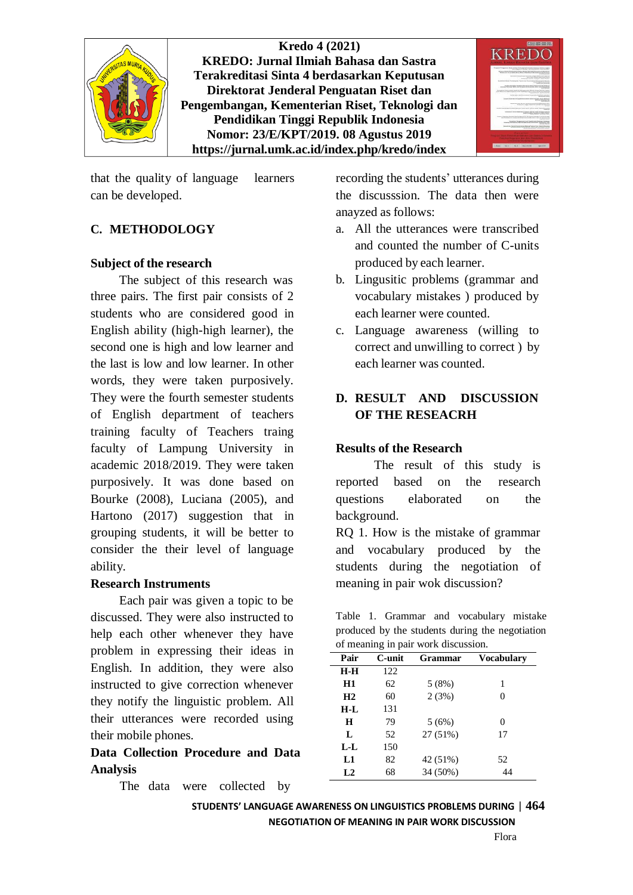

that the quality of language learners can be developed.

# **C. METHODOLOGY**

#### **Subject of the research**

The subject of this research was three pairs. The first pair consists of 2 students who are considered good in English ability (high-high learner), the second one is high and low learner and the last is low and low learner. In other words, they were taken purposively. They were the fourth semester students of English department of teachers training faculty of Teachers traing faculty of Lampung University in academic 2018/2019. They were taken purposively. It was done based on Bourke (2008), Luciana (2005), and Hartono (2017) suggestion that in grouping students, it will be better to consider the their level of language ability.

#### **Research Instruments**

Each pair was given a topic to be discussed. They were also instructed to help each other whenever they have problem in expressing their ideas in English. In addition, they were also instructed to give correction whenever they notify the linguistic problem. All their utterances were recorded using their mobile phones.

**Data Collection Procedure and Data Analysis**

The data were collected by

recording the students' utterances during the discusssion. The data then were anayzed as follows:

- a. All the utterances were transcribed and counted the number of C-units produced by each learner.
- b. Lingusitic problems (grammar and vocabulary mistakes ) produced by each learner were counted.
- c. Language awareness (willing to correct and unwilling to correct ) by each learner was counted.

# **D. RESULT AND DISCUSSION OF THE RESEACRH**

#### **Results of the Research**

The result of this study is reported based on the research questions elaborated on the background.

RQ 1. How is the mistake of grammar and vocabulary produced by the students during the negotiation of meaning in pair wok discussion?

Table 1. Grammar and vocabulary mistake produced by the students during the negotiation of meaning in pair work discussion.

| of meaning in pair work discussion. |          |            |  |  |  |  |  |  |
|-------------------------------------|----------|------------|--|--|--|--|--|--|
| C-unit                              | Grammar  | Vocabulary |  |  |  |  |  |  |
| 122                                 |          |            |  |  |  |  |  |  |
| 62                                  | 5(8%)    | 1          |  |  |  |  |  |  |
| 60                                  | 2(3%)    | 0          |  |  |  |  |  |  |
| 131                                 |          |            |  |  |  |  |  |  |
| 79                                  | 5(6%)    | 0          |  |  |  |  |  |  |
| 52                                  | 27 (51%) | 17         |  |  |  |  |  |  |
| 150                                 |          |            |  |  |  |  |  |  |
| 82                                  | 42 (51%) | 52         |  |  |  |  |  |  |
| 68                                  | 34 (50%) | 44         |  |  |  |  |  |  |
|                                     |          |            |  |  |  |  |  |  |

**STUDENTS' LANGUAGE AWARENESS ON LINGUISTICS PROBLEMS DURING** | **464 NEGOTIATION OF MEANING IN PAIR WORK DISCUSSION**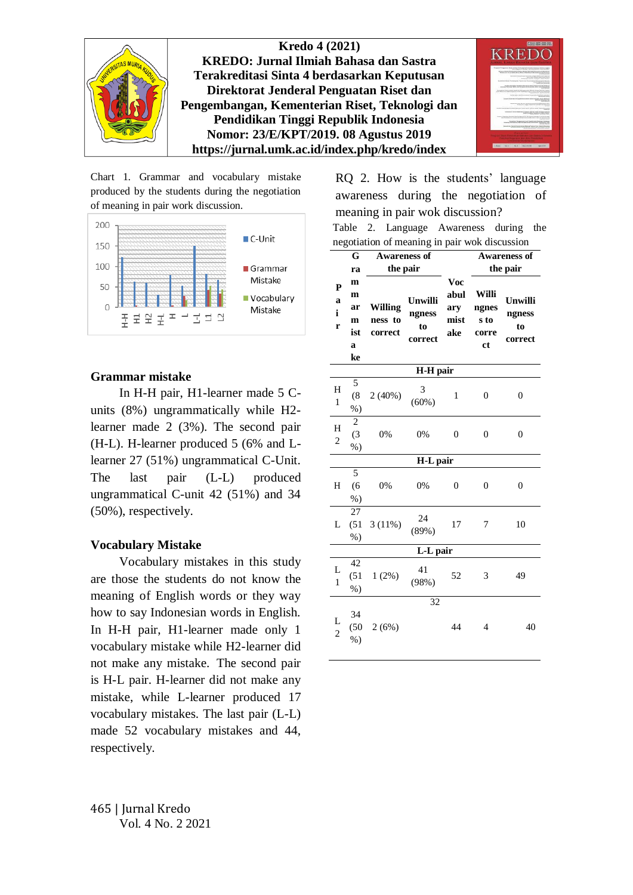

Chart 1. Grammar and vocabulary mistake produced by the students during the negotiation of meaning in pair work discussion.



#### **Grammar mistake**

In H-H pair, H1-learner made 5 Cunits (8%) ungrammatically while H2 learner made 2 (3%). The second pair (H-L). H-learner produced 5 (6% and Llearner 27 (51%) ungrammatical C-Unit. The last pair (L-L) produced ungrammatical C-unit 42 (51%) and 34 (50%), respectively.

#### **Vocabulary Mistake**

Vocabulary mistakes in this study are those the students do not know the meaning of English words or they way how to say Indonesian words in English. In H-H pair, H1-learner made only 1 vocabulary mistake while H2-learner did not make any mistake. The second pair is H-L pair. H-learner did not make any mistake, while L-learner produced 17 vocabulary mistakes. The last pair (L-L) made 52 vocabulary mistakes and 44, respectively.

465 | Jurnal Kredo Vol. 4 No. 2 2021 RQ 2. How is the students' language awareness during the negotiation of meaning in pair wok discussion?

Table 2. Language Awareness during the negotiation of meaning in pair wok discussion

|                              | <b>Awareness of</b><br>G                      |                               |                                    |                                   | <b>Awareness of</b>                   |                                    |  |  |
|------------------------------|-----------------------------------------------|-------------------------------|------------------------------------|-----------------------------------|---------------------------------------|------------------------------------|--|--|
| $\mathbf{P}$<br>a<br>i<br>r  | ra                                            | the pair                      |                                    |                                   | the pair                              |                                    |  |  |
|                              | m<br>m<br>ar<br>$\mathbf m$<br>ist<br>a<br>ke | Willing<br>ness to<br>correct | Unwilli<br>ngness<br>to<br>correct | Voc<br>abul<br>ary<br>mist<br>ake | Willi<br>ngnes<br>s to<br>corre<br>ct | Unwilli<br>ngness<br>to<br>correct |  |  |
| H-H pair                     |                                               |                               |                                    |                                   |                                       |                                    |  |  |
| H<br>$\mathbf{1}$            | 5<br>(8)<br>$%$ )                             | 2(40%)                        | 3<br>(60%)                         | $\mathbf{1}$                      | $\overline{0}$                        | $\overline{0}$                     |  |  |
| H<br>$\overline{\mathbf{c}}$ | $\overline{c}$<br>(3)<br>$%$ )                | 0%                            | 0%                                 | $\theta$                          | $\theta$                              | $\theta$                           |  |  |
| H-L pair                     |                                               |                               |                                    |                                   |                                       |                                    |  |  |
| Η                            | 5<br>(6)<br>$%$ )                             | 0%                            | 0%                                 | $\overline{0}$                    | $\overline{0}$                        | $\overline{0}$                     |  |  |
| L                            | 27<br>(51)<br>$%$ )                           | 3(11%)                        | 24<br>(89%)                        | 17                                | 7                                     | 10                                 |  |  |
| L-L pair                     |                                               |                               |                                    |                                   |                                       |                                    |  |  |
| L<br>$\mathbf{1}$            | 42<br>(51)<br>$%$ )                           | 1(2%)                         | 41<br>(98%)                        | 52                                | 3                                     | 49                                 |  |  |
|                              | 32                                            |                               |                                    |                                   |                                       |                                    |  |  |
| L<br>$\overline{c}$          | 34<br>(50)<br>$%$ )                           | 2(6%)                         |                                    | 44                                | 4                                     | 40                                 |  |  |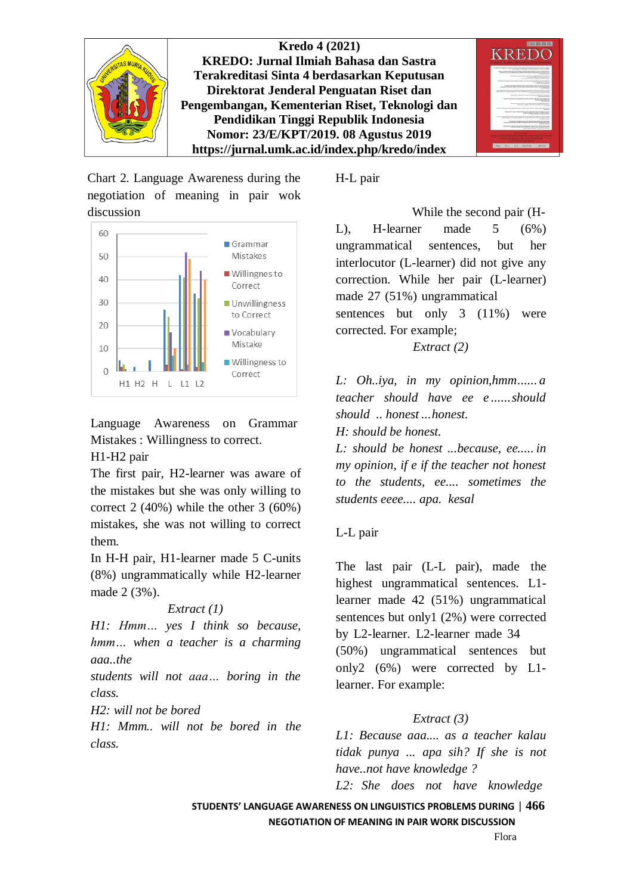

Chart 2. Language Awareness during the negotiation of meaning in pair wok discussion



Language Awareness on Grammar Mistakes : Willingness to correct.

H1-H2 pair

The first pair, H2-learner was aware of the mistakes but she was only willing to correct 2 (40%) while the other 3 (60%) mistakes, she was not willing to correct them.

In H-H pair, H1-learner made 5 C-units (8%) ungrammatically while H2-learner made 2 (3%).

#### *Extract (1)*

*H1: Hmm… yes I think so because, hmm… when a teacher is a charming aaa..the*

*students will not aaa… boring in the class.*

*H2: will not be bored*

*H1: Mmm.. will not be bored in the class.*

H-L pair

While the second pair (H-L), H-learner made 5 (6%) ungrammatical sentences, but her interlocutor (L-learner) did not give any correction. While her pair (L-learner) made 27 (51%) ungrammatical sentences but only 3 (11%) were corrected. For example;

*Extract (2)*

*L: Oh..iya, in my opinion,hmm...... a teacher should have ee e ......should should .. honest ...honest.*

*H: should be honest.*

*L: should be honest ...because, ee..... in my opinion, if e if the teacher not honest to the students, ee.... sometimes the students eeee.... apa. kesal*

#### L-L pair

The last pair (L-L pair), made the highest ungrammatical sentences. L1 learner made 42 (51%) ungrammatical sentences but only1 (2%) were corrected by L2-learner. L2-learner made 34 (50%) ungrammatical sentences but only2 (6%) were corrected by L1 learner. For example:

# *Extract (3)*

*L1: Because aaa.... as a teacher kalau tidak punya ... apa sih? If she is not have..not have knowledge ?*

*L2: She does not have knowledge*

**STUDENTS' LANGUAGE AWARENESS ON LINGUISTICS PROBLEMS DURING** | **466**

**NEGOTIATION OF MEANING IN PAIR WORK DISCUSSION**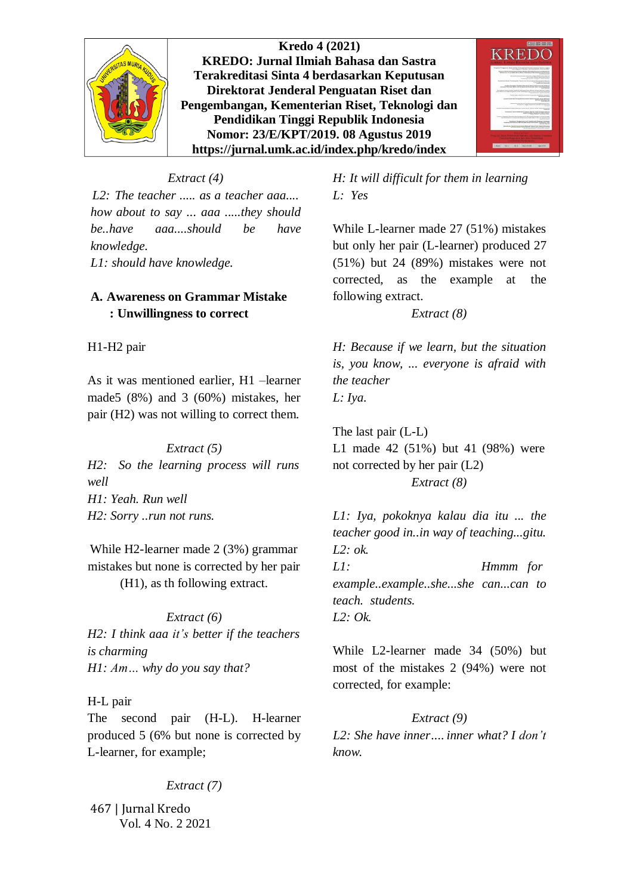



#### *Extract (4)*

*L2: The teacher ..... as a teacher aaa.... how about to say ... aaa .....they should be..have aaa....should be have knowledge. L1: should have knowledge.*

## **A. Awareness on Grammar Mistake : Unwillingness to correct**

H1-H2 pair

As it was mentioned earlier, H1 –learner made5 (8%) and 3 (60%) mistakes, her pair (H2) was not willing to correct them.

*Extract (5) H2: So the learning process will runs well H1: Yeah. Run well H2: Sorry ..run not runs.*

While H2-learner made 2 (3%) grammar mistakes but none is corrected by her pair (H1), as th following extract.

#### *Extract (6)*

*H2: I think aaa it's better if the teachers is charming H1: Am… why do you say that?*

#### H-L pair

The second pair (H-L). H-learner produced 5 (6% but none is corrected by L-learner, for example;

#### *Extract (7)*

467 | Jurnal Kredo Vol. 4 No. 2 2021 *H: It will difficult for them in learning L: Yes*

While L-learner made 27 (51%) mistakes but only her pair (L-learner) produced 27 (51%) but 24 (89%) mistakes were not corrected, as the example at the following extract.

#### *Extract (8)*

*H: Because if we learn, but the situation is, you know, ... everyone is afraid with the teacher L: Iya.*

The last pair (L-L) L1 made 42 (51%) but 41 (98%) were not corrected by her pair (L2) *Extract (8)*

*L1: Iya, pokoknya kalau dia itu ... the teacher good in..in way of teaching...gitu. L2: ok. L1: Hmmm for example..example..she...she can...can to teach. students. L2: Ok.*

While L2-learner made 34 (50%) but most of the mistakes 2 (94%) were not corrected, for example:

#### *Extract (9)*

*L2: She have inner.... inner what? I don't know.*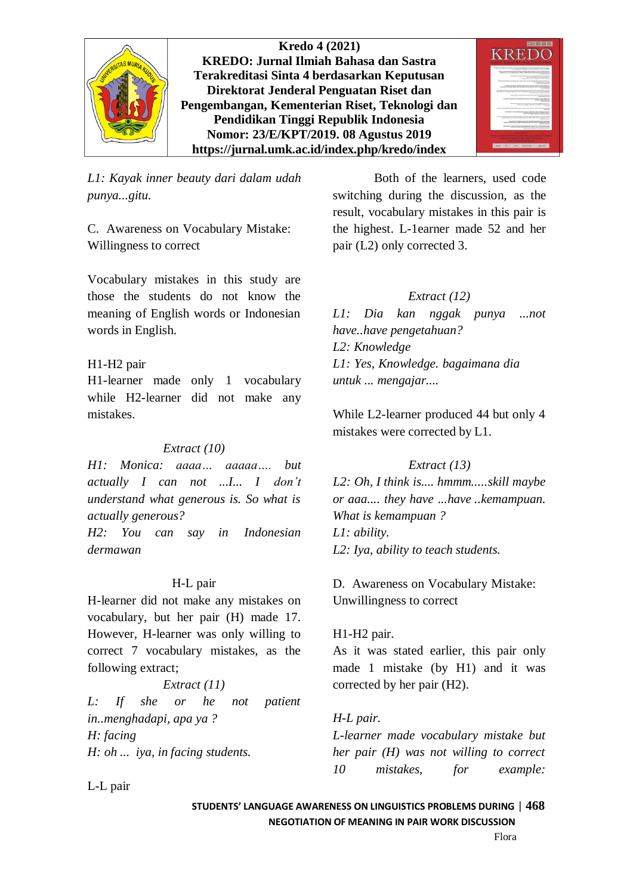

*L1: Kayak inner beauty dari dalam udah punya...gitu.*

C. Awareness on Vocabulary Mistake: Willingness to correct

Vocabulary mistakes in this study are those the students do not know the meaning of English words or Indonesian words in English.

#### H1-H2 pair

H1-learner made only 1 vocabulary while H2-learner did not make any mistakes.

#### *Extract (10)*

*H1: Monica: aaaa… aaaaa…. but actually I can not ...I... I don't understand what generous is. So what is actually generous?*

*H2: You can say in Indonesian dermawan*

#### H-L pair

H-learner did not make any mistakes on vocabulary, but her pair (H) made 17. However, H-learner was only willing to correct 7 vocabulary mistakes, as the following extract;

# *Extract (11)*

*L: If she or he not patient in..menghadapi, apa ya ? H: facing H: oh ... iya, in facing students.*

L-L pair

Both of the learners, used code switching during the discussion, as the result, vocabulary mistakes in this pair is the highest. L-1earner made 52 and her pair (L2) only corrected 3.

**KRED** 

#### *Extract (12)*

*L1: Dia kan nggak punya ...not have..have pengetahuan? L2: Knowledge L1: Yes, Knowledge. bagaimana dia untuk ... mengajar....*

While L2-learner produced 44 but only 4 mistakes were corrected by L1.

#### *Extract (13)*

*L2: Oh, I think is.... hmmm.....skill maybe or aaa.... they have ...have ..kemampuan. What is kemampuan ? L1: ability. L2: Iya, ability to teach students.*

D. Awareness on Vocabulary Mistake: Unwillingness to correct

#### H1-H2 pair.

As it was stated earlier, this pair only made 1 mistake (by H1) and it was corrected by her pair (H2).

#### *H-L pair.*

*L-learner made vocabulary mistake but her pair (H) was not willing to correct 10 mistakes, for example:*

**STUDENTS' LANGUAGE AWARENESS ON LINGUISTICS PROBLEMS DURING** | **468 NEGOTIATION OF MEANING IN PAIR WORK DISCUSSION**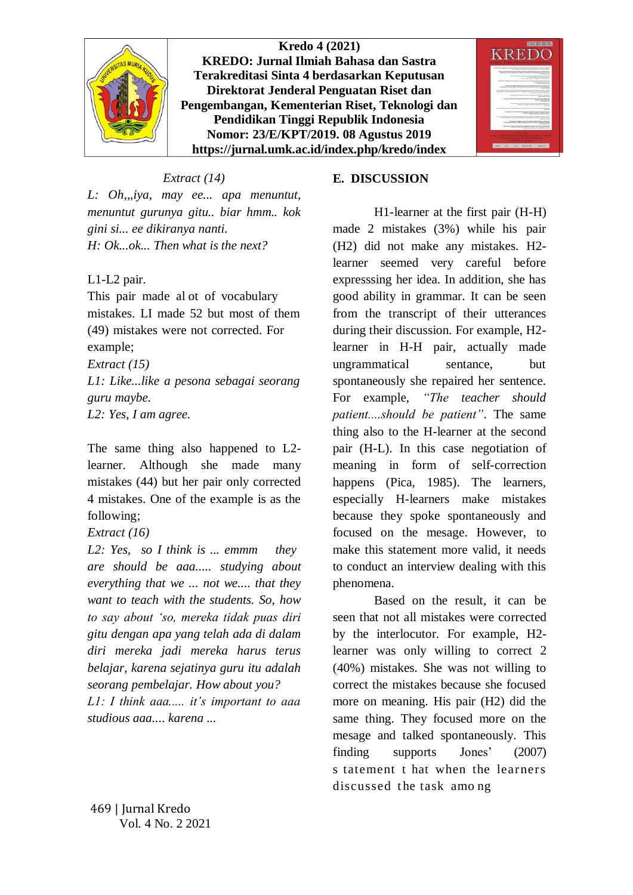



*Extract (14)*

*L: Oh,,,iya, may ee... apa menuntut, menuntut gurunya gitu.. biar hmm.. kok gini si... ee dikiranya nanti. H: Ok...ok... Then what is the next?*

# L1-L2 pair.

This pair made al ot of vocabulary mistakes. LI made 52 but most of them (49) mistakes were not corrected. For example; *Extract (15) L1: Like...like a pesona sebagai seorang guru maybe.*

*L2: Yes, I am agree.*

The same thing also happened to L2 learner. Although she made many mistakes (44) but her pair only corrected 4 mistakes. One of the example is as the following;

# *Extract (16)*

*L2: Yes, so I think is ... emmm they are should be aaa..... studying about everything that we ... not we.... that they want to teach with the students. So, how to say about 'so, mereka tidak puas diri gitu dengan apa yang telah ada di dalam diri mereka jadi mereka harus terus belajar, karena sejatinya guru itu adalah seorang pembelajar. How about you?*

*L1: I think aaa..... it's important to aaa studious aaa.... karena ...*

# **E. DISCUSSION**

H1-learner at the first pair (H-H) made 2 mistakes (3%) while his pair (H2) did not make any mistakes. H2 learner seemed very careful before expresssing her idea. In addition, she has good ability in grammar. It can be seen from the transcript of their utterances during their discussion. For example, H2 learner in H-H pair, actually made ungrammatical sentance, but spontaneously she repaired her sentence. For example, *"The teacher should patient....should be patient"*. The same thing also to the H-learner at the second pair (H-L). In this case negotiation of meaning in form of self-correction happens (Pica, 1985). The learners, especially H-learners make mistakes because they spoke spontaneously and focused on the mesage. However, to make this statement more valid, it needs to conduct an interview dealing with this phenomena.

Based on the result, it can be seen that not all mistakes were corrected by the interlocutor. For example, H2 learner was only willing to correct 2 (40%) mistakes. She was not willing to correct the mistakes because she focused more on meaning. His pair (H2) did the same thing. They focused more on the mesage and talked spontaneously. This finding supports Jones' (2007) s tatement t hat when the learners discussed the task among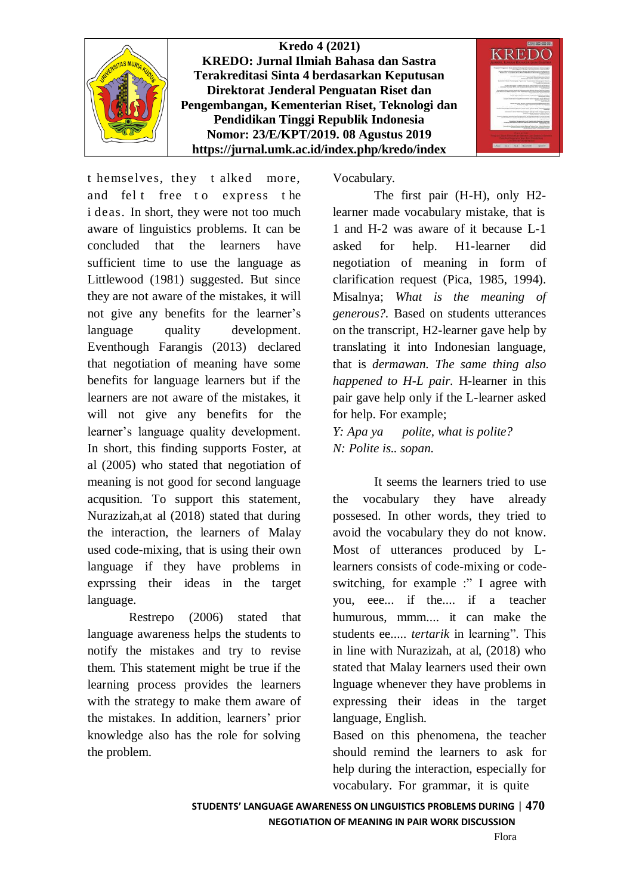

t hemselves, they t alked more, and felt free to express the i deas. In short, they were not too much aware of linguistics problems. It can be concluded that the learners have sufficient time to use the language as Littlewood (1981) suggested. But since they are not aware of the mistakes, it will not give any benefits for the learner's language quality development. Eventhough Farangis (2013) declared that negotiation of meaning have some benefits for language learners but if the learners are not aware of the mistakes, it will not give any benefits for the learner's language quality development. In short, this finding supports Foster, at al (2005) who stated that negotiation of meaning is not good for second language acqusition. To support this statement, Nurazizah,at al (2018) stated that during the interaction, the learners of Malay used code-mixing, that is using their own language if they have problems in exprssing their ideas in the target language.

Restrepo (2006) stated that language awareness helps the students to notify the mistakes and try to revise them. This statement might be true if the learning process provides the learners with the strategy to make them aware of the mistakes. In addition, learners' prior knowledge also has the role for solving the problem.

Vocabulary.

The first pair (H-H), only H2 learner made vocabulary mistake, that is 1 and H-2 was aware of it because L-1 asked for help. H1-learner did negotiation of meaning in form of clarification request (Pica, 1985, 1994). Misalnya; *What is the meaning of generous?.* Based on students utterances on the transcript, H2-learner gave help by translating it into Indonesian language, that is *dermawan. The same thing also happened to H-L pair.* H-learner in this pair gave help only if the L-learner asked for help. For example;

*Y: Apa ya polite, what is polite? N: Polite is.. sopan.*

It seems the learners tried to use the vocabulary they have already possesed. In other words, they tried to avoid the vocabulary they do not know. Most of utterances produced by Llearners consists of code-mixing or codeswitching, for example :" I agree with you, eee... if the.... if a teacher humurous, mmm.... it can make the students ee..... *tertarik* in learning". This in line with Nurazizah, at al, (2018) who stated that Malay learners used their own lnguage whenever they have problems in expressing their ideas in the target language, English.

Based on this phenomena, the teacher should remind the learners to ask for help during the interaction, especially for vocabulary. For grammar, it is quite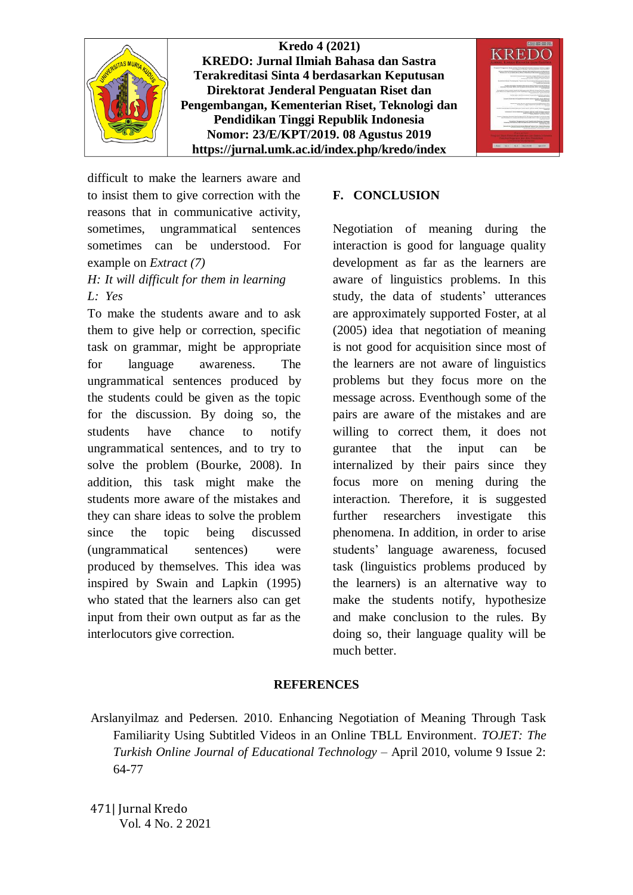

difficult to make the learners aware and to insist them to give correction with the reasons that in communicative activity, sometimes, ungrammatical sentences sometimes can be understood. For example on *Extract (7)*

# *H: It will difficult for them in learning L: Yes*

To make the students aware and to ask them to give help or correction, specific task on grammar, might be appropriate for language awareness. The ungrammatical sentences produced by the students could be given as the topic for the discussion. By doing so, the students have chance to notify ungrammatical sentences, and to try to solve the problem (Bourke, 2008). In addition, this task might make the students more aware of the mistakes and they can share ideas to solve the problem since the topic being discussed (ungrammatical sentences) were produced by themselves. This idea was inspired by Swain and Lapkin (1995) who stated that the learners also can get input from their own output as far as the interlocutors give correction.

# **F. CONCLUSION**

Negotiation of meaning during the interaction is good for language quality development as far as the learners are aware of linguistics problems. In this study, the data of students' utterances are approximately supported Foster, at al (2005) idea that negotiation of meaning is not good for acquisition since most of the learners are not aware of linguistics problems but they focus more on the message across. Eventhough some of the pairs are aware of the mistakes and are willing to correct them, it does not gurantee that the input can be internalized by their pairs since they focus more on mening during the interaction. Therefore, it is suggested further researchers investigate this phenomena. In addition, in order to arise students' language awareness, focused task (linguistics problems produced by the learners) is an alternative way to make the students notify, hypothesize and make conclusion to the rules. By doing so, their language quality will be much better.

# **REFERENCES**

Arslanyilmaz and Pedersen. 2010. Enhancing Negotiation of Meaning Through Task Familiarity Using Subtitled Videos in an Online TBLL Environment. *TOJET: The Turkish Online Journal of Educational Technology* – April 2010, volume 9 Issue 2: 64-77

471| Jurnal Kredo Vol. 4 No. 2 2021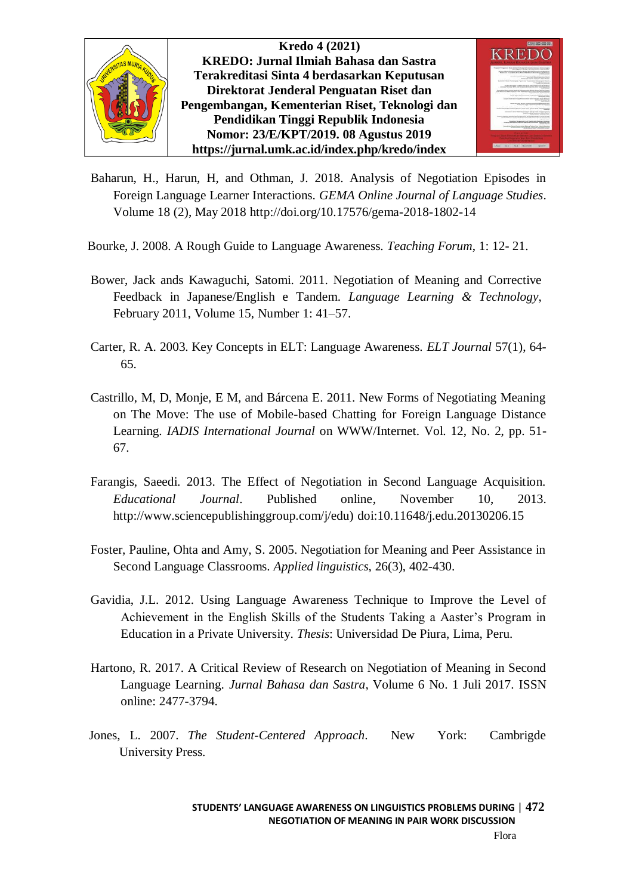



- Baharun, H., Harun, H, and Othman, J. 2018. Analysis of Negotiation Episodes in Foreign Language Learner Interactions. *GEMA Online Journal of Language Studies*. Volume 18 (2), May 2018 <http://doi.org/10.17576/gema-2018-1802-14>
- Bourke, J. 2008. A Rough Guide to Language Awareness. *Teaching Forum*, 1: 12- 21.
- Bower, Jack ands Kawaguchi, Satomi. 2011. Negotiation of Meaning and Corrective Feedback in Japanese/English e Tandem. *Language Learning & Technology*, February 2011, Volume 15, Number 1: 41–57.
- Carter, R. A. 2003. Key Concepts in ELT: Language Awareness. *ELT Journal* 57(1), 64- 65.
- Castrillo, M, D, Monje, E M, and Bárcena E. 2011. New Forms of Negotiating Meaning on The Move: The use of Mobile-based Chatting for Foreign Language Distance Learning. *IADIS International Journal* on WWW/Internet. Vol. 12, No. 2, pp. 51- 67.
- Farangis, Saeedi. 2013. The Effect of Negotiation in Second Language Acquisition. *Educational Journal*. Published online, November 10, 2013. [http://www.sciencepublishinggroup.com/j/edu\)](http://www.sciencepublishinggroup.com/j/edu)) doi:10.11648/j.edu.20130206.15
- Foster, Pauline, Ohta and Amy, S. 2005. Negotiation for Meaning and Peer Assistance in Second Language Classrooms. *Applied linguistics*, 26(3), 402-430.
- Gavidia, J.L. 2012. Using Language Awareness Technique to Improve the Level of Achievement in the English Skills of the Students Taking a Aaster's Program in Education in a Private University. *Thesis*: Universidad De Piura, Lima, Peru.
- Hartono, R. 2017. A Critical Review of Research on Negotiation of Meaning in Second Language Learning. *Jurnal Bahasa dan Sastra*, Volume 6 No. 1 Juli 2017. ISSN online: 2477-3794.
- Jones, L. 2007. *The Student-Centered Approach*. New York: Cambrigde University Press.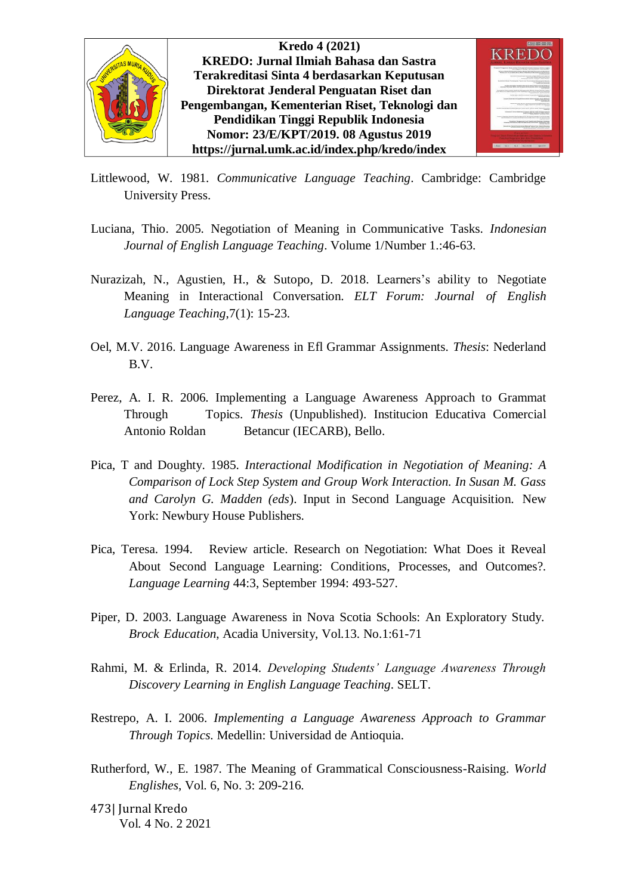



Littlewood, W. 1981. *Communicative Language Teaching*. Cambridge: Cambridge University Press.

- Luciana, Thio. 2005. Negotiation of Meaning in Communicative Tasks. *Indonesian Journal of English Language Teaching*. Volume 1/Number 1.:46-63.
- Nurazizah, N., Agustien, H., & Sutopo, D. 2018. Learners's ability to Negotiate Meaning in Interactional Conversation. *ELT Forum: Journal of English Language Teaching*,7(1): 15-23.
- Oel, M.V. 2016. Language Awareness in Efl Grammar Assignments. *Thesis*: Nederland B.V.
- Perez, A. I. R. 2006. Implementing a Language Awareness Approach to Grammat Through Topics. *Thesis* (Unpublished). Institucion Educativa Comercial Antonio Roldan Betancur (IECARB), Bello.
- Pica, T and Doughty. 1985*. Interactional Modification in Negotiation of Meaning: A Comparison of Lock Step System and Group Work Interaction. In Susan M. Gass and Carolyn G. Madden (eds*). Input in Second Language Acquisition. New York: Newbury House Publishers.
- Pica, Teresa. 1994. Review article. Research on Negotiation: What Does it Reveal About Second Language Learning: Conditions, Processes, and Outcomes?. *Language Learning* 44:3, September 1994: 493-527.
- Piper, D. 2003. Language Awareness in Nova Scotia Schools: An Exploratory Study. *Brock Education*, Acadia University, Vol.13. No.1:61-71
- Rahmi, M. & Erlinda, R. 2014. *Developing Students' Language Awareness Through Discovery Learning in English Language Teaching*. SELT.
- Restrepo, A. I. 2006. *Implementing a Language Awareness Approach to Grammar Through Topics*. Medellin: Universidad de Antioquia.
- Rutherford, W., E. 1987. The Meaning of Grammatical Consciousness-Raising. *World Englishes*, Vol. 6, No. 3: 209-216.
- 473| Jurnal Kredo Vol. 4 No. 2 2021